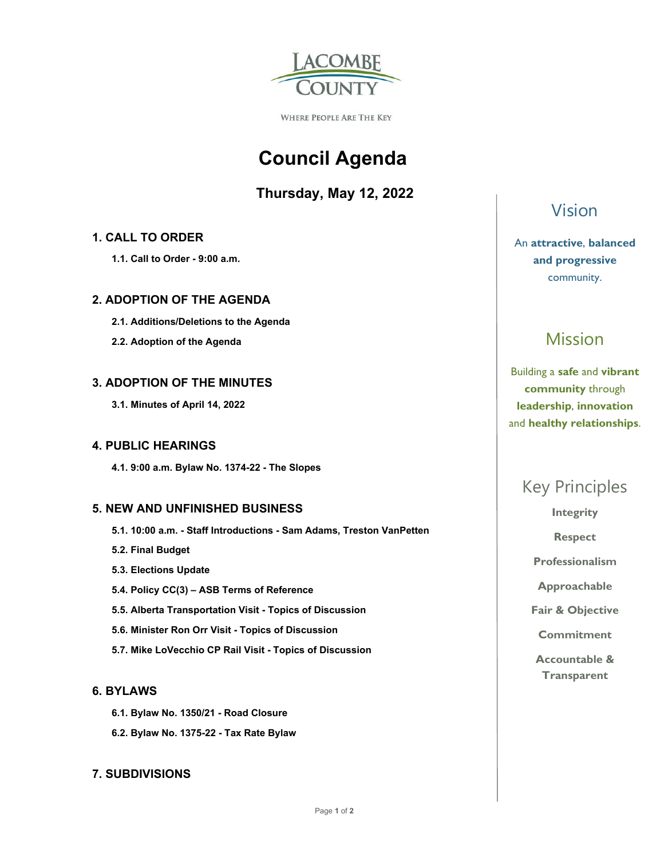

WHERE PEOPLE ARE THE KEY

# **Council Agenda**

 **Thursday, May 12, 2022** 

### **1. CALL TO ORDER**

 **1.1. Call to Order - 9:00 a.m.** 

### **2. ADOPTION OF THE AGENDA**

- **2.1. Additions/Deletions to the Agenda**
- **2.2. Adoption of the Agenda**

### **3. ADOPTION OF THE MINUTES**

 **3.1. Minutes of April 14, 2022** 

#### **4. PUBLIC HEARINGS**

 **4.1. 9:00 a.m. Bylaw No. 1374-22 - The Slopes** 

### **5. NEW AND UNFINISHED BUSINESS**

- **5.1. 10:00 a.m. Staff Introductions Sam Adams, Treston VanPetten**
- **5.2. Final Budget**
- **5.3. Elections Update**
- **5.4. Policy CC(3) ASB Terms of Reference**
- **5.5. Alberta Transportation Visit Topics of Discussion**
- **5.6. Minister Ron Orr Visit Topics of Discussion**
- **5.7. Mike LoVecchio CP Rail Visit Topics of Discussion**

### **6. BYLAWS**

- **6.1. Bylaw No. 1350/21 Road Closure**
- **6.2. Bylaw No. 1375-22 Tax Rate Bylaw**

### **7. SUBDIVISIONS**

## Vision

An **attractive**, **balanced and progressive**  community.

## Mission

Building a **safe** and **vibrant community** through **leadership**, **innovation**  and **healthy relationships**.

## Key Principles

**Integrity Respect Professionalism Approachable Fair & Objective Commitment** 

**Accountable & Transparent**